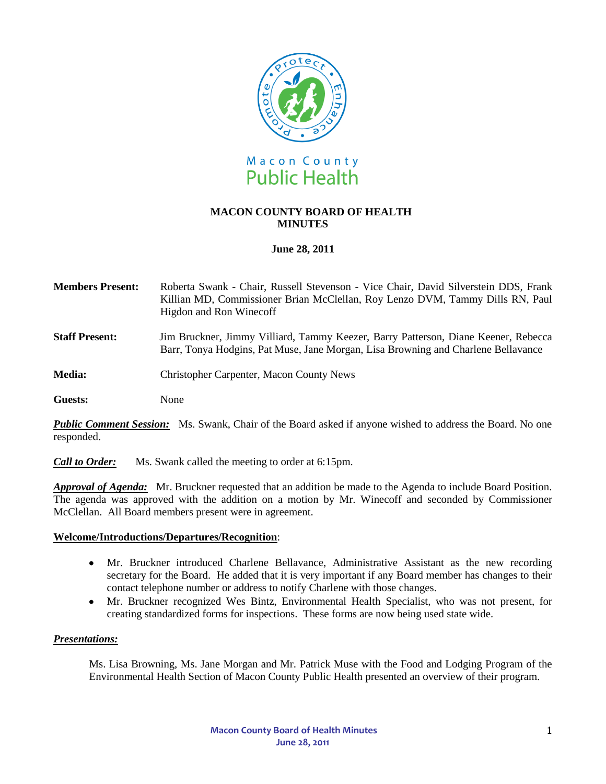

# **MACON COUNTY BOARD OF HEALTH MINUTES**

# **June 28, 2011**

| <b>Members Present:</b> | Roberta Swank - Chair, Russell Stevenson - Vice Chair, David Silverstein DDS, Frank |
|-------------------------|-------------------------------------------------------------------------------------|
|                         | Killian MD, Commissioner Brian McClellan, Roy Lenzo DVM, Tammy Dills RN, Paul       |
|                         | Higdon and Ron Winecoff                                                             |

- **Staff Present:** Jim Bruckner, Jimmy Villiard, Tammy Keezer, Barry Patterson, Diane Keener, Rebecca Barr, Tonya Hodgins, Pat Muse, Jane Morgan, Lisa Browning and Charlene Bellavance
- **Media:** Christopher Carpenter, Macon County News

**Guests:** None

**Public Comment Session:** Ms. Swank, Chair of the Board asked if anyone wished to address the Board. No one responded.

*Call to Order:* Ms. Swank called the meeting to order at 6:15pm.

*Approval of Agenda:* Mr. Bruckner requested that an addition be made to the Agenda to include Board Position. The agenda was approved with the addition on a motion by Mr. Winecoff and seconded by Commissioner McClellan. All Board members present were in agreement.

### **Welcome/Introductions/Departures/Recognition**:

- Mr. Bruckner introduced Charlene Bellavance, Administrative Assistant as the new recording secretary for the Board. He added that it is very important if any Board member has changes to their contact telephone number or address to notify Charlene with those changes.
- Mr. Bruckner recognized Wes Bintz, Environmental Health Specialist, who was not present, for  $\bullet$ creating standardized forms for inspections. These forms are now being used state wide.

### *Presentations:*

Ms. Lisa Browning, Ms. Jane Morgan and Mr. Patrick Muse with the Food and Lodging Program of the Environmental Health Section of Macon County Public Health presented an overview of their program.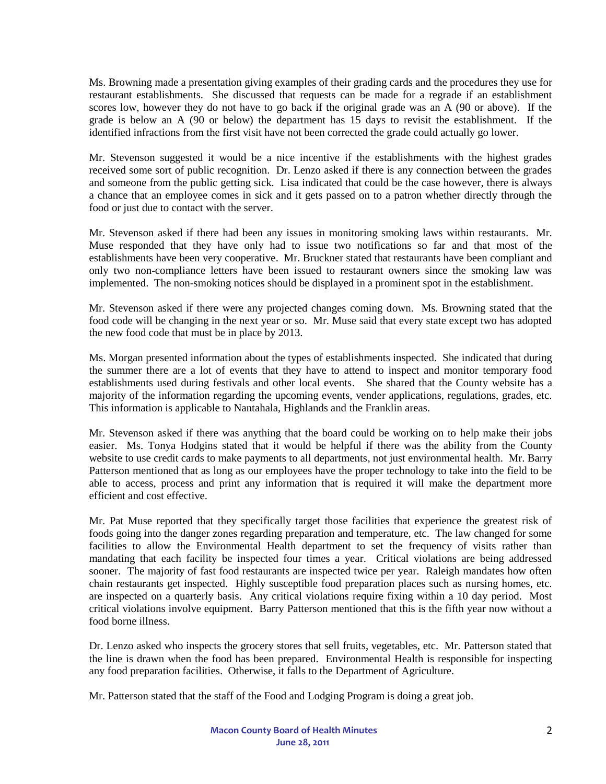Ms. Browning made a presentation giving examples of their grading cards and the procedures they use for restaurant establishments. She discussed that requests can be made for a regrade if an establishment scores low, however they do not have to go back if the original grade was an A (90 or above). If the grade is below an A (90 or below) the department has 15 days to revisit the establishment. If the identified infractions from the first visit have not been corrected the grade could actually go lower.

Mr. Stevenson suggested it would be a nice incentive if the establishments with the highest grades received some sort of public recognition. Dr. Lenzo asked if there is any connection between the grades and someone from the public getting sick. Lisa indicated that could be the case however, there is always a chance that an employee comes in sick and it gets passed on to a patron whether directly through the food or just due to contact with the server.

Mr. Stevenson asked if there had been any issues in monitoring smoking laws within restaurants. Mr. Muse responded that they have only had to issue two notifications so far and that most of the establishments have been very cooperative. Mr. Bruckner stated that restaurants have been compliant and only two non-compliance letters have been issued to restaurant owners since the smoking law was implemented. The non-smoking notices should be displayed in a prominent spot in the establishment.

Mr. Stevenson asked if there were any projected changes coming down. Ms. Browning stated that the food code will be changing in the next year or so. Mr. Muse said that every state except two has adopted the new food code that must be in place by 2013.

Ms. Morgan presented information about the types of establishments inspected. She indicated that during the summer there are a lot of events that they have to attend to inspect and monitor temporary food establishments used during festivals and other local events. She shared that the County website has a majority of the information regarding the upcoming events, vender applications, regulations, grades, etc. This information is applicable to Nantahala, Highlands and the Franklin areas.

Mr. Stevenson asked if there was anything that the board could be working on to help make their jobs easier. Ms. Tonya Hodgins stated that it would be helpful if there was the ability from the County website to use credit cards to make payments to all departments, not just environmental health. Mr. Barry Patterson mentioned that as long as our employees have the proper technology to take into the field to be able to access, process and print any information that is required it will make the department more efficient and cost effective.

Mr. Pat Muse reported that they specifically target those facilities that experience the greatest risk of foods going into the danger zones regarding preparation and temperature, etc. The law changed for some facilities to allow the Environmental Health department to set the frequency of visits rather than mandating that each facility be inspected four times a year. Critical violations are being addressed sooner. The majority of fast food restaurants are inspected twice per year. Raleigh mandates how often chain restaurants get inspected. Highly susceptible food preparation places such as nursing homes, etc. are inspected on a quarterly basis. Any critical violations require fixing within a 10 day period. Most critical violations involve equipment. Barry Patterson mentioned that this is the fifth year now without a food borne illness.

Dr. Lenzo asked who inspects the grocery stores that sell fruits, vegetables, etc. Mr. Patterson stated that the line is drawn when the food has been prepared. Environmental Health is responsible for inspecting any food preparation facilities. Otherwise, it falls to the Department of Agriculture.

Mr. Patterson stated that the staff of the Food and Lodging Program is doing a great job.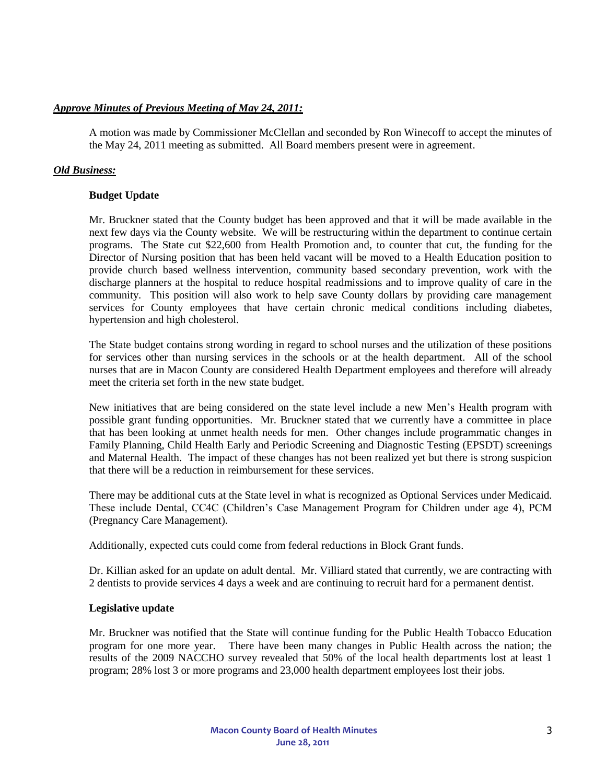# *Approve Minutes of Previous Meeting of May 24, 2011:*

A motion was made by Commissioner McClellan and seconded by Ron Winecoff to accept the minutes of the May 24, 2011 meeting as submitted. All Board members present were in agreement.

# *Old Business:*

### **Budget Update**

Mr. Bruckner stated that the County budget has been approved and that it will be made available in the next few days via the County website. We will be restructuring within the department to continue certain programs. The State cut \$22,600 from Health Promotion and, to counter that cut, the funding for the Director of Nursing position that has been held vacant will be moved to a Health Education position to provide church based wellness intervention, community based secondary prevention, work with the discharge planners at the hospital to reduce hospital readmissions and to improve quality of care in the community. This position will also work to help save County dollars by providing care management services for County employees that have certain chronic medical conditions including diabetes, hypertension and high cholesterol.

The State budget contains strong wording in regard to school nurses and the utilization of these positions for services other than nursing services in the schools or at the health department. All of the school nurses that are in Macon County are considered Health Department employees and therefore will already meet the criteria set forth in the new state budget.

New initiatives that are being considered on the state level include a new Men's Health program with possible grant funding opportunities. Mr. Bruckner stated that we currently have a committee in place that has been looking at unmet health needs for men. Other changes include programmatic changes in Family Planning, Child Health Early and Periodic Screening and Diagnostic Testing (EPSDT) screenings and Maternal Health. The impact of these changes has not been realized yet but there is strong suspicion that there will be a reduction in reimbursement for these services.

There may be additional cuts at the State level in what is recognized as Optional Services under Medicaid. These include Dental, CC4C (Children's Case Management Program for Children under age 4), PCM (Pregnancy Care Management).

Additionally, expected cuts could come from federal reductions in Block Grant funds.

Dr. Killian asked for an update on adult dental. Mr. Villiard stated that currently, we are contracting with 2 dentists to provide services 4 days a week and are continuing to recruit hard for a permanent dentist.

### **Legislative update**

Mr. Bruckner was notified that the State will continue funding for the Public Health Tobacco Education program for one more year. There have been many changes in Public Health across the nation; the results of the 2009 NACCHO survey revealed that 50% of the local health departments lost at least 1 program; 28% lost 3 or more programs and 23,000 health department employees lost their jobs.